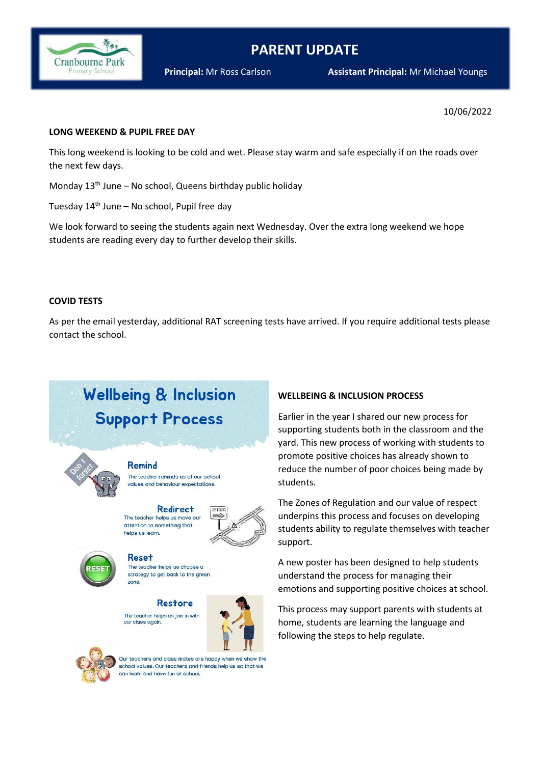

# **PARENT UPDATE**

#### 10/06/2022

#### **LONG WEEKEND & PUPIL FREE DAY**

This long weekend is looking to be cold and wet. Please stay warm and safe especially if on the roads over the next few days.

Monday 13<sup>th</sup> June – No school, Queens birthday public holiday

Tuesday  $14<sup>th</sup>$  June – No school, Pupil free day

We look forward to seeing the students again next Wednesday. Over the extra long weekend we hope students are reading every day to further develop their skills.

#### **COVID TESTS**

As per the email yesterday, additional RAT screening tests have arrived. If you require additional tests please contact the school.

# **Wellbeing & Inclusion Support Process**



**Remind** 

The teacher reminds us of our school values and behaviour expectations.

**Redirect** The teacher helps us move our attention to something that helps us learn.





**Reset** The teacher helps us choose a strategy to get back to the green zone.

Restore The teacher helps us join in with our class again.





Our teachers and class mates are happy when we show the school values. Our teachers and friends help us so that we can learn and have fun at school.

## **WELLBEING & INCLUSION PROCESS**

Earlier in the year I shared our new process for supporting students both in the classroom and the yard. This new process of working with students to promote positive choices has already shown to reduce the number of poor choices being made by students.

The Zones of Regulation and our value of respect underpins this process and focuses on developing students ability to regulate themselves with teacher support.

A new poster has been designed to help students understand the process for managing their emotions and supporting positive choices at school.

This process may support parents with students at home, students are learning the language and following the steps to help regulate.